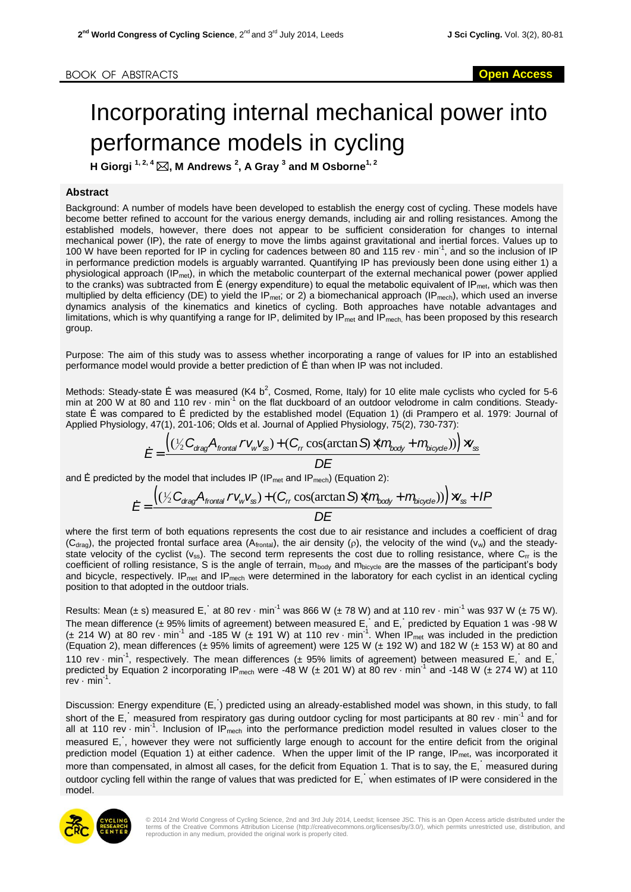## Incorporating internal mechanical power into performance models in cycling

**H Giorgi 1, 2, <sup>4</sup>, M Andrews <sup>2</sup> , A Gray <sup>3</sup> and M Osborne1, <sup>2</sup>**

## **Abstract**

Background: A number of models have been developed to establish the energy cost of cycling. These models have become better refined to account for the various energy demands, including air and rolling resistances. Among the established models, however, there does not appear to be sufficient consideration for changes to internal mechanical power (IP), the rate of energy to move the limbs against gravitational and inertial forces. Values up to 100 W have been reported for IP in cycling for cadences between 80 and 115 rev  $\cdot$  min<sup>-1</sup>, and so the inclusion of IP in performance prediction models is arguably warranted. Quantifying IP has previously been done using either 1) a physiological approach  $(IP<sub>met</sub>)$ , in which the metabolic counterpart of the external mechanical power (power applied to the cranks) was subtracted from  $\dot{E}$  (energy expenditure) to equal the metabolic equivalent of IP<sub>met</sub>, which was then multiplied by delta efficiency (DE) to yield the IP<sub>met</sub>; or 2) a biomechanical approach (IP<sub>mech</sub>), which used an inverse dynamics analysis of the kinematics and kinetics of cycling. Both approaches have notable advantages and limitations, which is why quantifying a range for IP, delimited by  $IP_{met}$  and IP<sub>mech</sub>, has been proposed by this research group.

Purpose: The aim of this study was to assess whether incorporating a range of values for IP into an established performance model would provide a better prediction of Ė than when IP was not included.

Methods: Steady-state  $\dot{E}$  was measured (K4 b<sup>2</sup>, Cosmed, Rome, Italy) for 10 elite male cyclists who cycled for 5-6 min at 200 W at 80 and 110 rev · min<sup>-1</sup> on the flat duckboard of an outdoor velodrome in calm conditions. Steadystate Ė was compared to Ė predicted by the established model (Equation 1) (di Prampero et al. 1979: Journal of Applied Physiology, 47(1), 201-106; Olds et al. Journal of Applied Physiology, 75(2), 730-737):

$$
\dot{E} = \frac{\left((\frac{1}{2}C_{drag}A_{frontal}/V_{w}V_{ss}) + (C_{rr}\cos(\arctan S) \times (m_{body} + m_{bicycle}))\right) \times V_{ss}}{DF}
$$

and  $\dot{E}$  predicted by the model that includes IP (IP<sub>met</sub> and IP<sub>mech</sub>) (Equation 2):

$$
\dot{E} = \frac{((1/2C_{drag}A_{frontal}/V_wV_{ss}) + (C_{rr}\cos(\arctan S) \times (m_{body} + m_{bicycle}))\times V_{ss} + IP)}{DE}
$$

where the first term of both equations represents the cost due to air resistance and includes a coefficient of drag (C<sub>drag</sub>), the projected frontal surface area (A<sub>frontal</sub>), the air density ( $\rho$ ), the velocity of the wind ( $v_w$ ) and the steadystate velocity of the cyclist ( $v_{ss}$ ). The second term represents the cost due to rolling resistance, where  $C_{rr}$  is the coefficient of rolling resistance, S is the angle of terrain, m<sub>body</sub> and m<sub>bicycle</sub> are the masses of the participant's body and bicycle, respectively. IP<sub>met</sub> and IP<sub>mech</sub> were determined in the laboratory for each cyclist in an identical cycling position to that adopted in the outdoor trials.

Results: Mean (± s) measured E, at 80 rev  $\cdot$  min<sup>-1</sup> was 866 W (± 78 W) and at 110 rev  $\cdot$  min<sup>-1</sup> was 937 W (± 75 W). The mean difference (± 95% limits of agreement) between measured E,˙ and E,˙ predicted by Equation 1 was -98 W ( $\pm$  214 W) at 80 rev · min<sup>-1</sup> and -185 W ( $\pm$  191 W) at 110 rev · min<sup>-1</sup>. When IP<sub>met</sub> was included in the prediction (Equation 2), mean differences (± 95% limits of agreement) were 125 W (± 192 W) and 182 W (± 153 W) at 80 and 110 rev  $\cdot$  min<sup>-1</sup>, respectively. The mean differences ( $\pm$  95% limits of agreement) between measured E, and E, predicted by Equation 2 incorporating IP<sub>mech</sub> were -48 W ( $\pm$  201 W) at 80 rev · min<sup>-1</sup> and -148 W ( $\pm$  274 W) at 110 .<br>rev · min<sup>-1</sup>.

Discussion: Energy expenditure (E,˙) predicted using an already-established model was shown, in this study, to fall short of the E, measured from respiratory gas during outdoor cycling for most participants at 80 rev  $\cdot$  min<sup>-1</sup> and for all at 110 rev min<sup>-1</sup>. Inclusion of IP<sub>mech</sub> into the performance prediction model resulted in values closer to the measured E, , however they were not sufficiently large enough to account for the entire deficit from the original prediction model (Equation 1) at either cadence. When the upper limit of the IP range, IP<sub>met</sub>, was incorporated it more than compensated, in almost all cases, for the deficit from Equation 1. That is to say, the E, measured during outdoor cycling fell within the range of values that was predicted for E,˙ when estimates of IP were considered in the model.



© 2014 2nd World Congress of Cycling Science, 2nd and 3rd July 2014, Leedst; licensee JSC. This is an Open Access article distributed under the<br>terms of the Creative Commons Attribution License (http://creativecommons.org/ reproduction in any medium, provided the original work is properly cited.